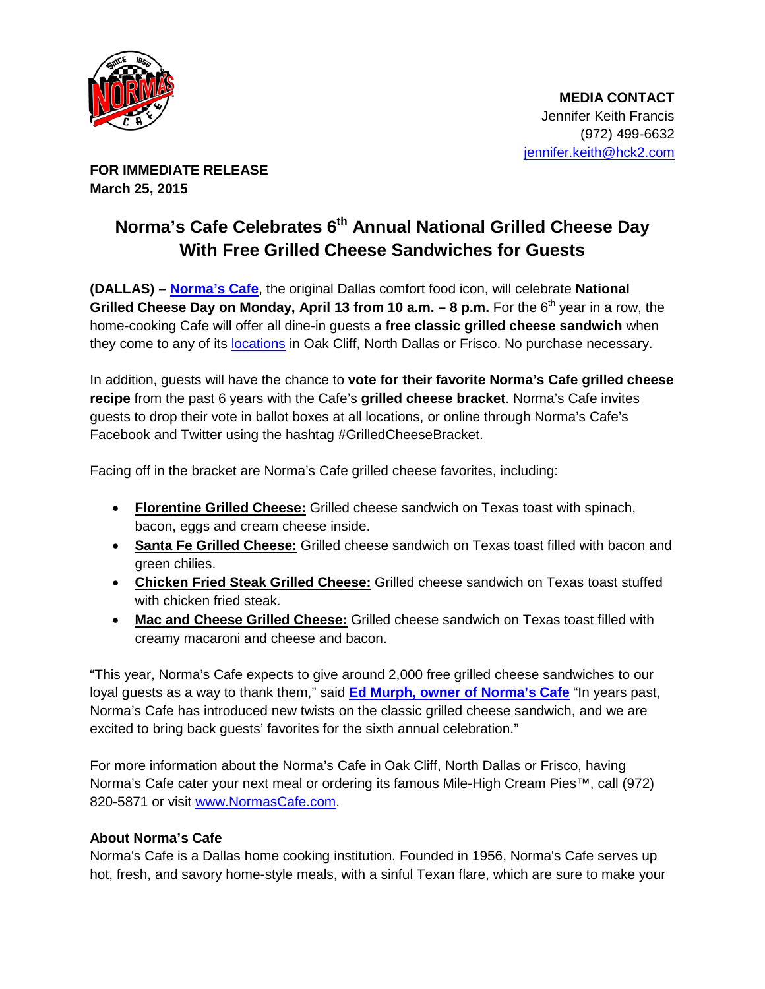

**FOR IMMEDIATE RELEASE March 25, 2015**

## **Norma's Cafe Celebrates 6th Annual National Grilled Cheese Day With Free Grilled Cheese Sandwiches for Guests**

**(DALLAS) – [Norma's Cafe](http://normascafe.com/)**, the original Dallas comfort food icon, will celebrate **National Grilled Cheese Day on Monday, April 13 from 10 a.m. – 8 p.m.** For the 6<sup>th</sup> year in a row, the home-cooking Cafe will offer all dine-in guests a **free classic grilled cheese sandwich** when they come to any of its **[locations](http://normascafe.com/locations/)** in Oak Cliff, North Dallas or Frisco. No purchase necessary.

In addition, guests will have the chance to **vote for their favorite Norma's Cafe grilled cheese recipe** from the past 6 years with the Cafe's **grilled cheese bracket**. Norma's Cafe invites guests to drop their vote in ballot boxes at all locations, or online through Norma's Cafe's Facebook and Twitter using the hashtag #GrilledCheeseBracket.

Facing off in the bracket are Norma's Cafe grilled cheese favorites, including:

- **Florentine Grilled Cheese:** Grilled cheese sandwich on Texas toast with spinach, bacon, eggs and cream cheese inside.
- **Santa Fe Grilled Cheese:** Grilled cheese sandwich on Texas toast filled with bacon and green chilies.
- **Chicken Fried Steak Grilled Cheese:** Grilled cheese sandwich on Texas toast stuffed with chicken fried steak.
- **Mac and Cheese Grilled Cheese:** Grilled cheese sandwich on Texas toast filled with creamy macaroni and cheese and bacon.

"This year, Norma's Cafe expects to give around 2,000 free grilled cheese sandwiches to our loyal guests as a way to thank them," said **[Ed Murph, owner of Norma's Cafe](http://normascafe.com/about/)** "In years past, Norma's Cafe has introduced new twists on the classic grilled cheese sandwich, and we are excited to bring back guests' favorites for the sixth annual celebration."

For more information about the Norma's Cafe in Oak Cliff, North Dallas or Frisco, having Norma's Cafe cater your next meal or ordering its famous Mile-High Cream Pies™, call (972) 820-5871 or visit [www.NormasCafe.com.](http://www.normascafe.com/)

## **About Norma's Cafe**

Norma's Cafe is a Dallas home cooking institution. Founded in 1956, Norma's Cafe serves up hot, fresh, and savory home-style meals, with a sinful Texan flare, which are sure to make your